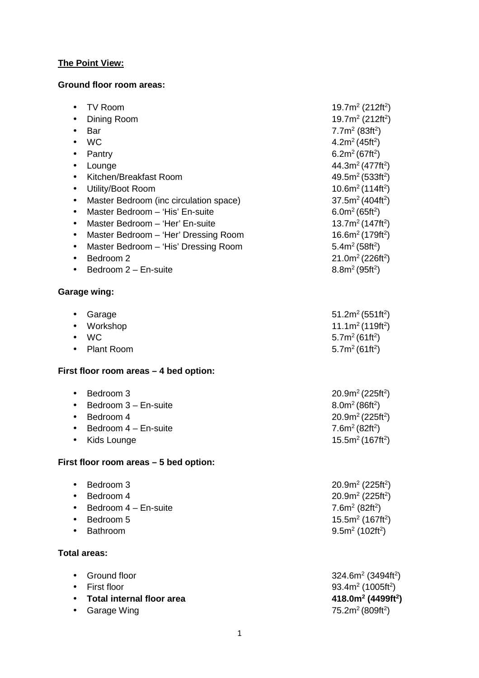### **The Point View:**

### **Ground floor room areas:**

| TV Room<br>$\bullet$<br>Dining Room<br>٠<br>Bar<br><b>WC</b><br>Pantry<br>$\bullet$<br>Lounge<br>$\bullet$<br>Kitchen/Breakfast Room<br>$\bullet$<br>Utility/Boot Room<br>$\bullet$<br>Master Bedroom (inc circulation space)<br>$\bullet$<br>Master Bedroom - 'His' En-suite<br>$\bullet$<br>Master Bedroom - 'Her' En-suite<br>$\bullet$<br>Master Bedroom - 'Her' Dressing Room<br>$\bullet$<br>Master Bedroom - 'His' Dressing Room<br>$\bullet$<br>Bedroom 2<br>Bedroom 2 - En-suite<br>$\bullet$ | 19.7m <sup>2</sup> (212ft <sup>2</sup> )<br>19.7 $m^2$ (212ft <sup>2</sup> )<br>7.7m <sup>2</sup> (83ft <sup>2</sup> )<br>4.2 $m^2$ (45ft <sup>2</sup> )<br>6.2 $m^2$ (67ft <sup>2</sup> )<br>44.3m <sup>2</sup> (477ft <sup>2</sup> )<br>49.5m <sup>2</sup> (533ft <sup>2</sup> )<br>$10.6m2$ (114ft <sup>2</sup> )<br>37.5 $m2$ (404ft <sup>2</sup> )<br>6.0m <sup>2</sup> (65ft <sup>2</sup> )<br>13.7 $m^2$ (147ft <sup>2</sup> )<br>16.6 $m^2$ (179ft <sup>2</sup> )<br>5.4m <sup>2</sup> (58ft <sup>2</sup> )<br>21.0m <sup>2</sup> (226ft <sup>2</sup> )<br>$8.8m^2(95ft^2)$ |
|--------------------------------------------------------------------------------------------------------------------------------------------------------------------------------------------------------------------------------------------------------------------------------------------------------------------------------------------------------------------------------------------------------------------------------------------------------------------------------------------------------|-------------------------------------------------------------------------------------------------------------------------------------------------------------------------------------------------------------------------------------------------------------------------------------------------------------------------------------------------------------------------------------------------------------------------------------------------------------------------------------------------------------------------------------------------------------------------------------|
| <b>Garage wing:</b>                                                                                                                                                                                                                                                                                                                                                                                                                                                                                    |                                                                                                                                                                                                                                                                                                                                                                                                                                                                                                                                                                                     |
| Garage<br>٠<br>Workshop<br><b>WC</b><br>$\bullet$<br><b>Plant Room</b>                                                                                                                                                                                                                                                                                                                                                                                                                                 | 51.2m <sup>2</sup> (551ft <sup>2</sup> )<br>11.1m <sup>2</sup> (119ft <sup>2</sup> )<br>5.7 $m^2$ (61ft <sup>2</sup> )<br>5.7m <sup>2</sup> (61ft <sup>2</sup> )                                                                                                                                                                                                                                                                                                                                                                                                                    |
| First floor room areas - 4 bed option:                                                                                                                                                                                                                                                                                                                                                                                                                                                                 |                                                                                                                                                                                                                                                                                                                                                                                                                                                                                                                                                                                     |
| Bedroom 3<br>$\bullet$<br>Bedroom 3 - En-suite<br>$\bullet$<br>Bedroom 4<br>$\bullet$<br>Bedroom 4 - En-suite<br>Kids Lounge<br>$\bullet$                                                                                                                                                                                                                                                                                                                                                              | 20.9m <sup>2</sup> (225ft <sup>2</sup> )<br>$8.0m^2(86ft^2)$<br>20.9m <sup>2</sup> (225ft <sup>2</sup> )<br>7.6m <sup>2</sup> (82ft <sup>2</sup> )<br>15.5m <sup>2</sup> (167ft <sup>2</sup> )                                                                                                                                                                                                                                                                                                                                                                                      |
| First floor room areas - 5 bed option:                                                                                                                                                                                                                                                                                                                                                                                                                                                                 |                                                                                                                                                                                                                                                                                                                                                                                                                                                                                                                                                                                     |
| Bedroom 3<br>$\bullet$<br>Bedroom 4<br>Bedroom 4 - En-suite<br>Bedroom 5<br>Bathroom                                                                                                                                                                                                                                                                                                                                                                                                                   | $20.9m2$ (225ft <sup>2</sup> )<br>20.9 $m^2$ (225ft <sup>2</sup> )<br>7.6 $m^2$ (82ft <sup>2</sup> )<br>15.5 $m^2$ (167ft <sup>2</sup> )<br>$9.5m2$ (102ft <sup>2</sup> )                                                                                                                                                                                                                                                                                                                                                                                                           |
| <b>Total areas:</b>                                                                                                                                                                                                                                                                                                                                                                                                                                                                                    |                                                                                                                                                                                                                                                                                                                                                                                                                                                                                                                                                                                     |
| Ground floor<br>$\bullet$<br>First floor<br><b>Total internal floor area</b><br>Garage Wing                                                                                                                                                                                                                                                                                                                                                                                                            | $324.6m2$ (3494ft <sup>2</sup> )<br>93.4 $m^2$ (1005ft <sup>2</sup> )<br>418.0 $m^2$ (4499ft <sup>2</sup> )<br>75.2m <sup>2</sup> (809ft <sup>2</sup> )                                                                                                                                                                                                                                                                                                                                                                                                                             |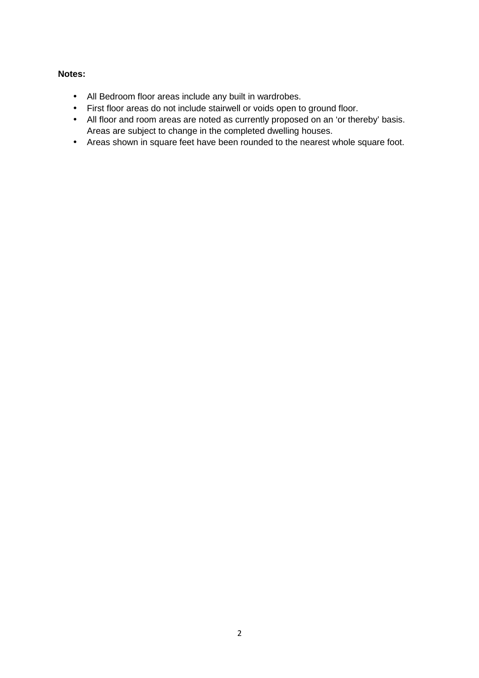### **Notes:**

- All Bedroom floor areas include any built in wardrobes.
- First floor areas do not include stairwell or voids open to ground floor.
- All floor and room areas are noted as currently proposed on an 'or thereby' basis. Areas are subject to change in the completed dwelling houses.
- Areas shown in square feet have been rounded to the nearest whole square foot.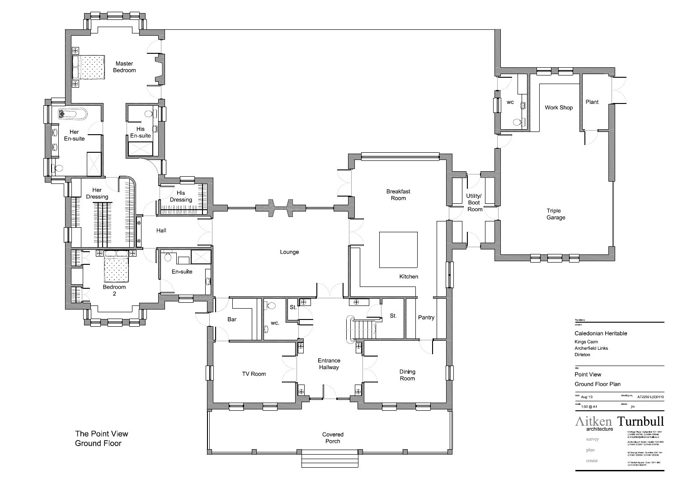

| date                                     | drawing no                                                                                                                                                                                                                                                                                                                      |
|------------------------------------------|---------------------------------------------------------------------------------------------------------------------------------------------------------------------------------------------------------------------------------------------------------------------------------------------------------------------------------|
| Aug '13                                  | AT2250 L(0)0110                                                                                                                                                                                                                                                                                                                 |
| scale                                    | drawn                                                                                                                                                                                                                                                                                                                           |
| 1:50 @ A1                                | jm                                                                                                                                                                                                                                                                                                                              |
| architecture<br>survey<br>plan<br>create | Aitken Turnbull<br>9 Bridge Place Galashiels TD1 1SN<br>t 01896 752760 f 01896 759399<br>e enquirles@altken-turnbull co uk<br>22 Buccleuch Street Hawlck TD9 0HW<br>t 01450 372297 f 01450 378106<br>32 George Street Dumfries DG1 1EH<br>t 01387 256964 f 01387 250938<br>47 Market Square Duns TD11 3BX<br>t & f 01361 883275 |